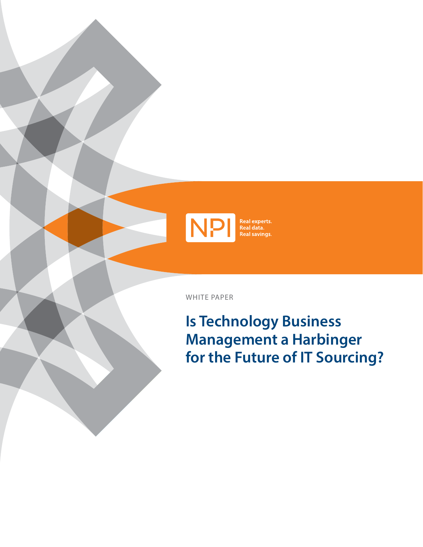

WHITE PAPER

**Is Technology Business Management a Harbinger for the Future of IT Sourcing?**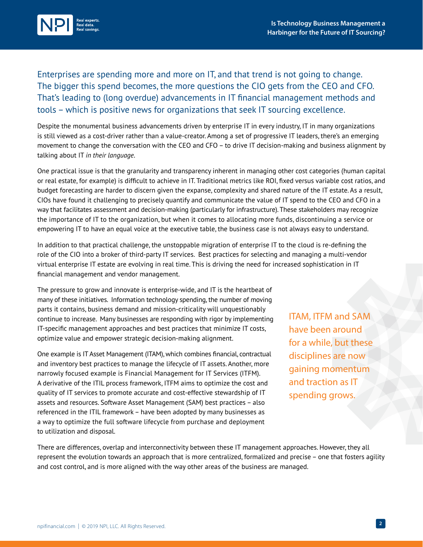

Enterprises are spending more and more on IT, and that trend is not going to change. The bigger this spend becomes, the more questions the CIO gets from the CEO and CFO. That's leading to (long overdue) advancements in IT financial management methods and tools – which is positive news for organizations that seek IT sourcing excellence.

Despite the monumental business advancements driven by enterprise IT in every industry, IT in many organizations is still viewed as a cost-driver rather than a value-creator. Among a set of progressive IT leaders, there's an emerging movement to change the conversation with the CEO and CFO – to drive IT decision-making and business alignment by talking about IT *in their language*.

One practical issue is that the granularity and transparency inherent in managing other cost categories (human capital or real estate, for example) is difficult to achieve in IT. Traditional metrics like ROI, fixed versus variable cost ratios, and budget forecasting are harder to discern given the expanse, complexity and shared nature of the IT estate. As a result, CIOs have found it challenging to precisely quantify and communicate the value of IT spend to the CEO and CFO in a way that facilitates assessment and decision-making (particularly for infrastructure). These stakeholders may recognize the importance of IT to the organization, but when it comes to allocating more funds, discontinuing a service or empowering IT to have an equal voice at the executive table, the business case is not always easy to understand.

In addition to that practical challenge, the unstoppable migration of enterprise IT to the cloud is re-defining the role of the CIO into a broker of third-party IT services. Best practices for selecting and managing a multi-vendor virtual enterprise IT estate are evolving in real time. This is driving the need for increased sophistication in IT financial management and vendor management.

The pressure to grow and innovate is enterprise-wide, and IT is the heartbeat of many of these initiatives. Information technology spending, the number of moving parts it contains, business demand and mission-criticality will unquestionably continue to increase. Many businesses are responding with rigor by implementing IT-specific management approaches and best practices that minimize IT costs, optimize value and empower strategic decision-making alignment.

One example is IT Asset Management (ITAM), which combines financial, contractual and inventory best practices to manage the lifecycle of IT assets. Another, more narrowly focused example is Financial Management for IT Services (ITFM). A derivative of the ITIL process framework, ITFM aims to optimize the cost and quality of IT services to promote accurate and cost-effective stewardship of IT assets and resources. Software Asset Management (SAM) best practices – also referenced in the ITIL framework – have been adopted by many businesses as a way to optimize the full software lifecycle from purchase and deployment to utilization and disposal.

 ITAM, ITFM and SAM have been around for a while, but these disciplines are now gaining momentum and traction as IT spending grows.

There are differences, overlap and interconnectivity between these IT management approaches. However, they all represent the evolution towards an approach that is more centralized, formalized and precise – one that fosters agility and cost control, and is more aligned with the way other areas of the business are managed.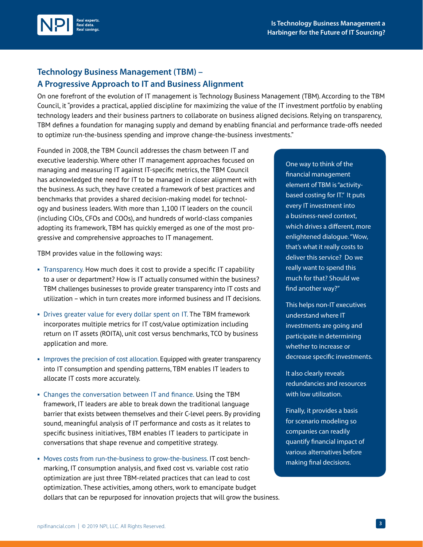



## **Technology Business Management (TBM) – A Progressive Approach to IT and Business Alignment**

On one forefront of the evolution of IT management is Technology Business Management (TBM). According to the TBM Council, it "provides a practical, applied discipline for maximizing the value of the IT investment portfolio by enabling technology leaders and their business partners to collaborate on business aligned decisions. Relying on transparency, TBM defines a foundation for managing supply and demand by enabling financial and performance trade-offs needed to optimize run-the-business spending and improve change-the-business investments."

Founded in 2008, the TBM Council addresses the chasm between IT and executive leadership. Where other IT management approaches focused on managing and measuring IT against IT-specific metrics, the TBM Council has acknowledged the need for IT to be managed in closer alignment with the business. As such, they have created a framework of best practices and benchmarks that provides a shared decision-making model for technology and business leaders. With more than 1,100 IT leaders on the council (including CIOs, CFOs and COOs), and hundreds of world-class companies adopting its framework, TBM has quickly emerged as one of the most progressive and comprehensive approaches to IT management.

TBM provides value in the following ways:

- <sup>◾</sup> Transparency. How much does it cost to provide a specific IT capability to a user or department? How is IT actually consumed within the business? TBM challenges businesses to provide greater transparency into IT costs and utilization – which in turn creates more informed business and IT decisions.
- Drives greater value for every dollar spent on IT. The TBM framework incorporates multiple metrics for IT cost/value optimization including return on IT assets (ROITA), unit cost versus benchmarks, TCO by business application and more.
- **Improves the precision of cost allocation. Equipped with greater transparency** into IT consumption and spending patterns, TBM enables IT leaders to allocate IT costs more accurately.
- Changes the conversation between IT and finance. Using the TBM framework, IT leaders are able to break down the traditional language barrier that exists between themselves and their C-level peers. By providing sound, meaningful analysis of IT performance and costs as it relates to specific business initiatives, TBM enables IT leaders to participate in conversations that shape revenue and competitive strategy.
- Moves costs from run-the-business to grow-the-business. IT cost benchmarking, IT consumption analysis, and fixed cost vs. variable cost ratio optimization are just three TBM-related practices that can lead to cost optimization. These activities, among others, work to emancipate budget dollars that can be repurposed for innovation projects that will grow the business.

One way to think of the financial management element of TBM is "activitybased costing for IT." It puts every IT investment into a business-need context, which drives a different, more enlightened dialogue. "Wow, that's what it really costs to deliver this service? Do we really want to spend this much for that? Should we find another way?"

This helps non-IT executives understand where IT investments are going and participate in determining whether to increase or decrease specific investments.

It also clearly reveals redundancies and resources with low utilization.

Finally, it provides a basis for scenario modeling so companies can readily quantify financial impact of various alternatives before making final decisions.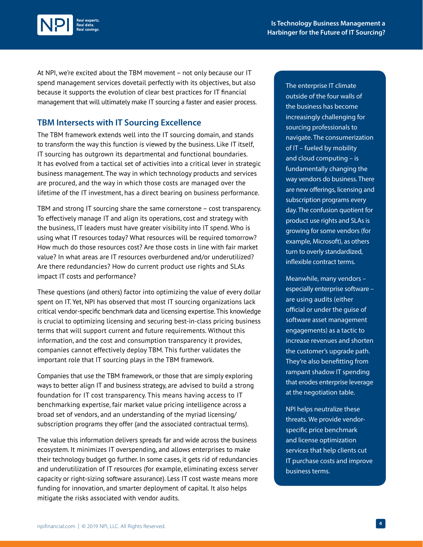

At NPI, we're excited about the TBM movement – not only because our IT spend management services dovetail perfectly with its objectives, but also because it supports the evolution of clear best practices for IT financial management that will ultimately make IT sourcing a faster and easier process.

## **TBM Intersects with IT Sourcing Excellence**

The TBM framework extends well into the IT sourcing domain, and stands to transform the way this function is viewed by the business. Like IT itself, IT sourcing has outgrown its departmental and functional boundaries. It has evolved from a tactical set of activities into a critical lever in strategic business management. The way in which technology products and services are procured, and the way in which those costs are managed over the lifetime of the IT investment, has a direct bearing on business performance.

TBM and strong IT sourcing share the same cornerstone – cost transparency. To effectively manage IT and align its operations, cost and strategy with the business, IT leaders must have greater visibility into IT spend. Who is using what IT resources today? What resources will be required tomorrow? How much do those resources cost? Are those costs in line with fair market value? In what areas are IT resources overburdened and/or underutilized? Are there redundancies? How do current product use rights and SLAs impact IT costs and performance?

These questions (and others) factor into optimizing the value of every dollar spent on IT. Yet, NPI has observed that most IT sourcing organizations lack critical vendor-specific benchmark data and licensing expertise. This knowledge is crucial to optimizing licensing and securing best-in-class pricing business terms that will support current and future requirements. Without this information, and the cost and consumption transparency it provides, companies cannot effectively deploy TBM. This further validates the important role that IT sourcing plays in the TBM framework.

Companies that use the TBM framework, or those that are simply exploring ways to better align IT and business strategy, are advised to build a strong foundation for IT cost transparency. This means having access to IT benchmarking expertise, fair market value pricing intelligence across a broad set of vendors, and an understanding of the myriad licensing/ subscription programs they offer (and the associated contractual terms).

The value this information delivers spreads far and wide across the business ecosystem. It minimizes IT overspending, and allows enterprises to make their technology budget go further. In some cases, it gets rid of redundancies and underutilization of IT resources (for example, eliminating excess server capacity or right-sizing software assurance). Less IT cost waste means more funding for innovation, and smarter deployment of capital. It also helps mitigate the risks associated with vendor audits.

The enterprise IT climate outside of the four walls of the business has become increasingly challenging for sourcing professionals to navigate. The consumerization of IT – fueled by mobility and cloud computing – is fundamentally changing the way vendors do business. There are new offerings, licensing and subscription programs every day. The confusion quotient for product use rights and SLAs is growing for some vendors (for example, Microsoft), as others turn to overly standardized, inflexible contract terms.

Meanwhile, many vendors – especially enterprise software – are using audits (either official or under the guise of software asset management engagements) as a tactic to increase revenues and shorten the customer's upgrade path. They're also benefitting from rampant shadow IT spending that erodes enterprise leverage at the negotiation table.

NPI helps neutralize these threats. We provide vendorspecific price benchmark and license optimization services that help clients cut IT purchase costs and improve business terms.